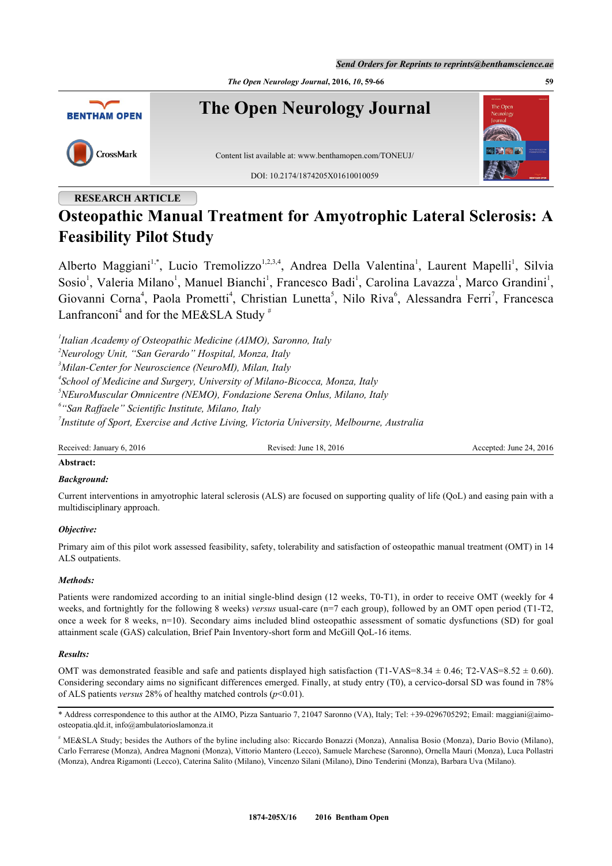*The Open Neurology Journal***, 2016,** *10***, 59-66 59**



# **RESEARCH ARTICLE**

# **Osteopathic Manual Treatment for Amyotrophic Lateral Sclerosis: A Feasibility Pilot Study**

Alberto Maggiani<sup>[1](#page-0-0),[\\*](#page-0-1)</sup>, Lucio Tremolizzo<sup>[1,2](#page-0-0),[3](#page-0-0),[4](#page-0-0)</sup>, Andrea Della Valentina<sup>1</sup>, Laurent Mapelli<sup>1</sup>, Silvia Sosio<sup>[1](#page-0-0)</sup>, Valeria Milano<sup>1</sup>, Manuel Bianchi<sup>1</sup>, Francesco Badi<sup>1</sup>, Carolina Lavazza<sup>1</sup>, Marco Grandini<sup>1</sup>, Giovanni Corna<sup>[4](#page-0-2)</sup>, Paola Prometti<sup>4</sup>, Christian Lunetta<sup>[5](#page-0-3)</sup>, Nilo Riva<sup>[6](#page-0-4)</sup>, Alessandra Ferri<sup>[7](#page-0-5)</sup>, Francesca Lanfranconi<sup>[4](#page-0-2)</sup> and for the ME&SLA Study  $^{\#}$  $^{\#}$  $^{\#}$ 

<span id="page-0-0"></span>*1 Italian Academy of Osteopathic Medicine (AIMO), Saronno, Italy*

*<sup>2</sup>Neurology Unit, "San Gerardo" Hospital, Monza, Italy*

*<sup>3</sup>Milan-Center for Neuroscience (NeuroMI), Milan, Italy*

<span id="page-0-2"></span>*4 School of Medicine and Surgery, University of Milano-Bicocca, Monza, Italy*

<span id="page-0-3"></span>*<sup>5</sup>NEuroMuscular Omnicentre (NEMO), Fondazione Serena Onlus, Milano, Italy*

<span id="page-0-4"></span>*6 "San Raffaele" Scientific Institute, Milano, Italy*

<span id="page-0-5"></span>*7 Institute of Sport, Exercise and Active Living, Victoria University, Melbourne, Australia*

Received: January 6, 2016 Revised: June 18, 2016 Revised: June 18, 2016 Accepted: June 24, 2016

# **Abstract:**

# *Background:*

Current interventions in amyotrophic lateral sclerosis (ALS) are focused on supporting quality of life (QoL) and easing pain with a multidisciplinary approach.

# *Objective:*

Primary aim of this pilot work assessed feasibility, safety, tolerability and satisfaction of osteopathic manual treatment (OMT) in 14 ALS outpatients.

# *Methods:*

Patients were randomized according to an initial single-blind design (12 weeks, T0-T1), in order to receive OMT (weekly for 4 weeks, and fortnightly for the following 8 weeks) *versus* usual-care (n=7 each group), followed by an OMT open period (T1-T2, once a week for 8 weeks, n=10). Secondary aims included blind osteopathic assessment of somatic dysfunctions (SD) for goal attainment scale (GAS) calculation, Brief Pain Inventory-short form and McGill QoL-16 items.

# *Results:*

OMT was demonstrated feasible and safe and patients displayed high satisfaction (T1-VAS=8.34  $\pm$  0.46; T2-VAS=8.52  $\pm$  0.60). Considering secondary aims no significant differences emerged. Finally, at study entry (T0), a cervico-dorsal SD was found in 78% of ALS patients *versus* 28% of healthy matched controls (*p*<0.01).

<span id="page-0-1"></span>\* Address correspondence to this author at the AIMO, Pizza Santuario 7, 21047 Saronno (VA), Italy; Tel: +39-0296705292; Email: [maggiani@aimo](mailto:maggiani@aimo-osteopatia.qld.it)[osteopatia.qld.it,](mailto:maggiani@aimo-osteopatia.qld.it) [info@ambulatorioslamonza.it](mailto:info@ambulatorioslamonza.it)

# ME&SLA Study; besides the Authors of the byline including also: Riccardo Bonazzi (Monza), Annalisa Bosio (Monza), Dario Bovio (Milano), Carlo Ferrarese (Monza), Andrea Magnoni (Monza), Vittorio Mantero (Lecco), Samuele Marchese (Saronno), Ornella Mauri (Monza), Luca Pollastri (Monza), Andrea Rigamonti (Lecco), Caterina Salito (Milano), Vincenzo Silani (Milano), Dino Tenderini (Monza), Barbara Uva (Milano).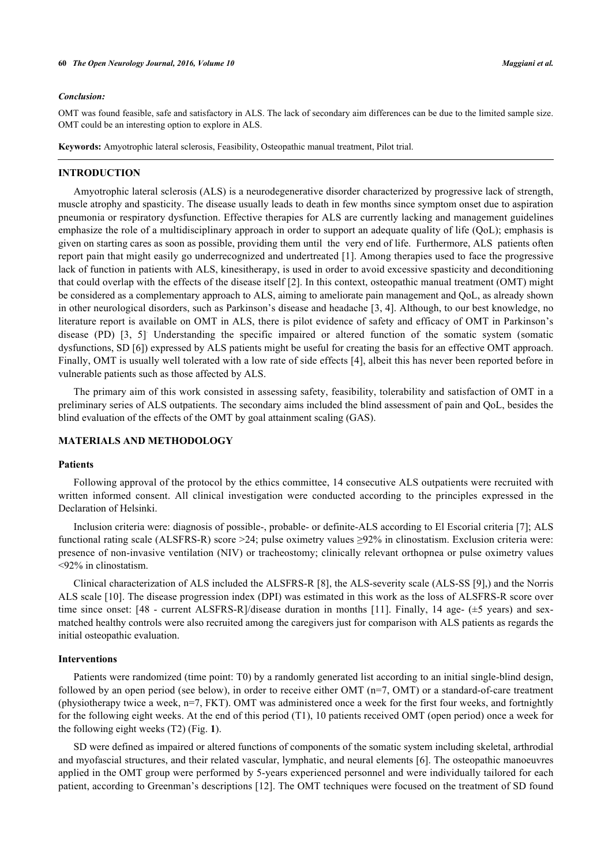#### **60** *The Open Neurology Journal, 2016, Volume 10 Maggiani et al.*

#### *Conclusion:*

OMT was found feasible, safe and satisfactory in ALS. The lack of secondary aim differences can be due to the limited sample size. OMT could be an interesting option to explore in ALS.

**Keywords:** Amyotrophic lateral sclerosis, Feasibility, Osteopathic manual treatment, Pilot trial.

# **INTRODUCTION**

Amyotrophic lateral sclerosis (ALS) is a neurodegenerative disorder characterized by progressive lack of strength, muscle atrophy and spasticity. The disease usually leads to death in few months since symptom onset due to aspiration pneumonia or respiratory dysfunction. Effective therapies for ALS are currently lacking and management guidelines emphasize the role of a multidisciplinary approach in order to support an adequate quality of life (QoL); emphasis is given on starting cares as soon as possible, providing them until the very end of life. Furthermore, ALS patients often report pain that might easily go underrecognized and undertreated [[1](#page-6-0)]. Among therapies used to face the progressive lack of function in patients with ALS, kinesitherapy, is used in order to avoid excessive spasticity and deconditioning that could overlap with the effects of the disease itself [\[2](#page-6-1)]. In this context, osteopathic manual treatment (OMT) might be considered as a complementary approach to ALS, aiming to ameliorate pain management and QoL, as already shown in other neurological disorders, such as Parkinson's disease and headache [\[3,](#page-6-2) [4\]](#page-6-3). Although, to our best knowledge, no literature report is available on OMT in ALS, there is pilot evidence of safety and efficacy of OMT in Parkinson's disease(PD) [[3,](#page-6-2) [5](#page-6-4)] Understanding the specific impaired or altered function of the somatic system (somatic dysfunctions, SD [\[6](#page-6-5)]) expressed by ALS patients might be useful for creating the basis for an effective OMT approach. Finally, OMT is usually well tolerated with a low rate of side effects [[4\]](#page-6-3), albeit this has never been reported before in vulnerable patients such as those affected by ALS.

The primary aim of this work consisted in assessing safety, feasibility, tolerability and satisfaction of OMT in a preliminary series of ALS outpatients. The secondary aims included the blind assessment of pain and QoL, besides the blind evaluation of the effects of the OMT by goal attainment scaling (GAS).

#### **MATERIALS AND METHODOLOGY**

#### **Patients**

Following approval of the protocol by the ethics committee, 14 consecutive ALS outpatients were recruited with written informed consent. All clinical investigation were conducted according to the principles expressed in the Declaration of Helsinki.

Inclusion criteria were: diagnosis of possible-, probable- or definite-ALS according to El Escorial criteria [[7\]](#page-6-6); ALS functional rating scale (ALSFRS-R) score >24; pulse oximetry values ≥92% in clinostatism. Exclusion criteria were: presence of non-invasive ventilation (NIV) or tracheostomy; clinically relevant orthopnea or pulse oximetry values <92% in clinostatism.

Clinical characterization of ALS included the ALSFRS-R [[8\]](#page-6-7), the ALS-severity scale (ALS-SS [[9\]](#page-6-8),) and the Norris ALS scale [\[10](#page-6-9)]. The disease progression index (DPI) was estimated in this work as the loss of ALSFRS-R score over time since onset: [48 - current ALSFRS-R]/disease duration in months[[11\]](#page-6-10). Finally, 14 age- (±5 years) and sexmatched healthy controls were also recruited among the caregivers just for comparison with ALS patients as regards the initial osteopathic evaluation.

# **Interventions**

Patients were randomized (time point: T0) by a randomly generated list according to an initial single-blind design, followed by an open period (see below), in order to receive either OMT (n=7, OMT) or a standard-of-care treatment (physiotherapy twice a week,  $n=7$ , FKT). OMT was administered once a week for the first four weeks, and fortnightly for the following eight weeks. At the end of this period (T1), 10 patients received OMT (open period) once a week for the following eight weeks (T2) (Fig. **[1](#page-2-0)**).

SD were defined as impaired or altered functions of components of the somatic system including skeletal, arthrodial and myofascial structures, and their related vascular, lymphatic, and neural elements [\[6](#page-6-5)]. The osteopathic manoeuvres applied in the OMT group were performed by 5-years experienced personnel and were individually tailored for each patient, according to Greenman's descriptions [[12\]](#page-7-0). The OMT techniques were focused on the treatment of SD found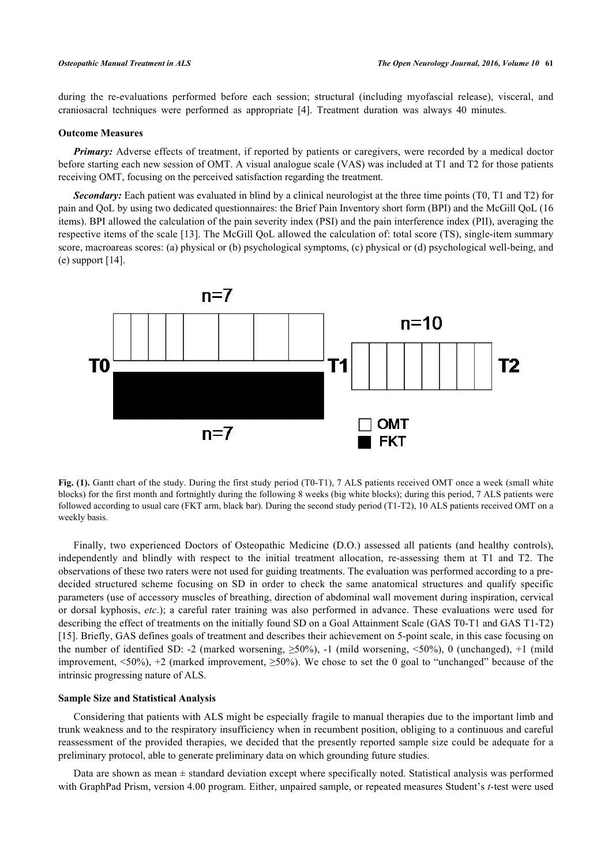during the re-evaluations performed before each session; structural (including myofascial release), visceral, and craniosacral techniques were performed as appropriate [\[4](#page-6-3)]. Treatment duration was always 40 minutes.

#### **Outcome Measures**

*Primary:* Adverse effects of treatment, if reported by patients or caregivers, were recorded by a medical doctor before starting each new session of OMT. A visual analogue scale (VAS) was included at T1 and T2 for those patients receiving OMT, focusing on the perceived satisfaction regarding the treatment.

*Secondary:* Each patient was evaluated in blind by a clinical neurologist at the three time points (T0, T1 and T2) for pain and QoL by using two dedicated questionnaires: the Brief Pain Inventory short form (BPI) and the McGill QoL (16 items). BPI allowed the calculation of the pain severity index (PSI) and the pain interference index (PII), averaging the respective items of the scale [\[13](#page-7-1)]. The McGill QoL allowed the calculation of: total score (TS), single-item summary score, macroareas scores: (a) physical or (b) psychological symptoms, (c) physical or (d) psychological well-being, and (e) support  $[14]$  $[14]$ .

<span id="page-2-0"></span>

Fig. (1). Gantt chart of the study. During the first study period (T0-T1), 7 ALS patients received OMT once a week (small white blocks) for the first month and fortnightly during the following 8 weeks (big white blocks); during this period, 7 ALS patients were followed according to usual care (FKT arm, black bar). During the second study period (T1-T2), 10 ALS patients received OMT on a weekly basis.

Finally, two experienced Doctors of Osteopathic Medicine (D.O.) assessed all patients (and healthy controls), independently and blindly with respect to the initial treatment allocation, re-assessing them at T1 and T2. The observations of these two raters were not used for guiding treatments. The evaluation was performed according to a predecided structured scheme focusing on SD in order to check the same anatomical structures and qualify specific parameters (use of accessory muscles of breathing, direction of abdominal wall movement during inspiration, cervical or dorsal kyphosis, *etc*.); a careful rater training was also performed in advance. These evaluations were used for describing the effect of treatments on the initially found SD on a Goal Attainment Scale (GAS T0-T1 and GAS T1-T2) [\[15](#page-7-3)]. Briefly, GAS defines goals of treatment and describes their achievement on 5-point scale, in this case focusing on the number of identified SD: -2 (marked worsening,  $\geq 50\%$ ), -1 (mild worsening,  $\leq 50\%$ ), 0 (unchanged), +1 (mild improvement,  $\langle 50\% \rangle$ , +2 (marked improvement,  $\geq 50\%$ ). We chose to set the 0 goal to "unchanged" because of the intrinsic progressing nature of ALS.

#### **Sample Size and Statistical Analysis**

Considering that patients with ALS might be especially fragile to manual therapies due to the important limb and trunk weakness and to the respiratory insufficiency when in recumbent position, obliging to a continuous and careful reassessment of the provided therapies, we decided that the presently reported sample size could be adequate for a preliminary protocol, able to generate preliminary data on which grounding future studies.

Data are shown as mean  $\pm$  standard deviation except where specifically noted. Statistical analysis was performed with GraphPad Prism, version 4.00 program. Either, unpaired sample, or repeated measures Student's *t*-test were used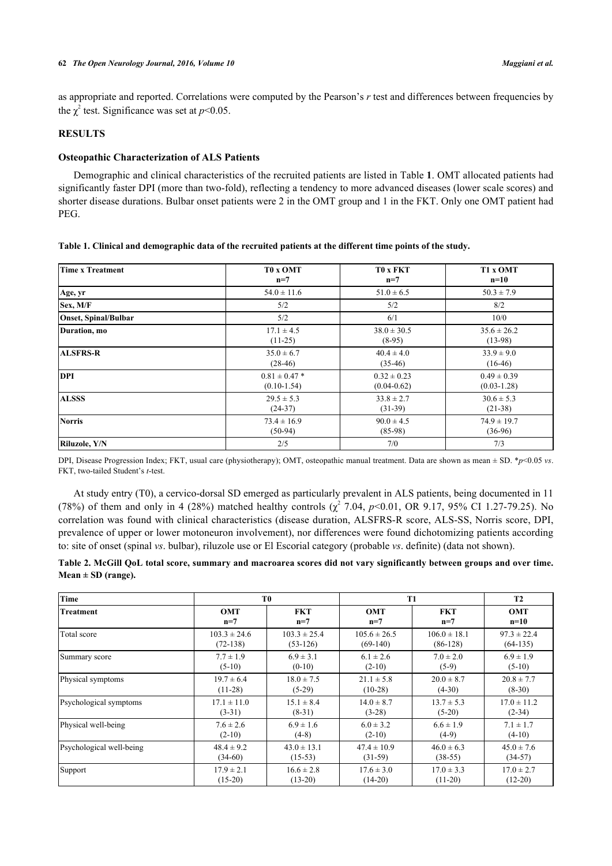as appropriate and reported. Correlations were computed by the Pearson's *r* test and differences between frequencies by the  $\chi^2$  test. Significance was set at  $p<0.05$ .

# **RESULTS**

# **Osteopathic Characterization of ALS Patients**

Demographic and clinical characteristics of the recruited patients are listed in [Table](#page-3-0) **[1](#page-3-0)**. OMT allocated patients had significantly faster DPI (more than two-fold), reflecting a tendency to more advanced diseases (lower scale scores) and shorter disease durations. Bulbar onset patients were 2 in the OMT group and 1 in the FKT. Only one OMT patient had PEG.

<span id="page-3-0"></span>

|  |  |  | Table 1. Clinical and demographic data of the recruited patients at the different time points of the study. |  |
|--|--|--|-------------------------------------------------------------------------------------------------------------|--|
|  |  |  |                                                                                                             |  |

| <b>Time x Treatment</b> | T0 x OMT          | <b>TO x FKT</b> | T1 x OMT        |  |
|-------------------------|-------------------|-----------------|-----------------|--|
|                         | $n=7$             | $n=7$           | $n=10$          |  |
| Age, yr                 | $54.0 \pm 11.6$   | $51.0 \pm 6.5$  | $50.3 \pm 7.9$  |  |
| Sex, M/F                | 5/2               | 5/2             | 8/2             |  |
| Onset, Spinal/Bulbar    | 5/2               | 6/1             | 10/0            |  |
| Duration, mo            | $17.1 \pm 4.5$    | $38.0 \pm 30.5$ | $35.6 \pm 26.2$ |  |
|                         | $(11-25)$         | $(8-95)$        | $(13-98)$       |  |
| <b>ALSFRS-R</b>         | $35.0 \pm 6.7$    | $40.4 \pm 4.0$  | $33.9 \pm 9.0$  |  |
|                         | $(28-46)$         | $(35-46)$       | $(16-46)$       |  |
| <b>DPI</b>              | $0.81 \pm 0.47$ * | $0.32 \pm 0.23$ | $0.49 \pm 0.39$ |  |
|                         | $(0.10-1.54)$     | $(0.04 - 0.62)$ | $(0.03 - 1.28)$ |  |
| <b>ALSSS</b>            | $29.5 \pm 5.3$    | $33.8 \pm 2.7$  | $30.6 \pm 5.3$  |  |
|                         | $(24-37)$         | $(31-39)$       | $(21-38)$       |  |
| <b>Norris</b>           | $73.4 \pm 16.9$   | $90.0 \pm 4.5$  | $74.9 \pm 19.7$ |  |
|                         | $(50-94)$         | $(85-98)$       | $(36-96)$       |  |
| Riluzole, Y/N           | 2/5               | 7/0             | 7/3             |  |

DPI, Disease Progression Index; FKT, usual care (physiotherapy); OMT, osteopathic manual treatment. Data are shown as mean ± SD. \**p*<0.05 *vs*. FKT, two-tailed Student's *t*-test.

At study entry (T0), a cervico-dorsal SD emerged as particularly prevalent in ALS patients, being documented in 11 (78%) of them and only in 4 (28%) matched healthy controls  $\chi^2$  7.04,  $p<0.01$ , OR 9.17, 95% CI 1.27-79.25). No correlation was found with clinical characteristics (disease duration, ALSFRS-R score, ALS-SS, Norris score, DPI, prevalence of upper or lower motoneuron involvement), nor differences were found dichotomizing patients according to: site of onset (spinal *vs*. bulbar), riluzole use or El Escorial category (probable *vs*. definite) (data not shown).

<span id="page-3-1"></span>**Table 2. McGill QoL total score, summary and macroarea scores did not vary significantly between groups and over time. Mean ± SD (range).**

| Time                     | T <sub>0</sub>   |                  | <b>T1</b>        | <b>T2</b>        |                 |
|--------------------------|------------------|------------------|------------------|------------------|-----------------|
| Treatment                | <b>OMT</b>       | <b>FKT</b>       | <b>OMT</b>       | <b>FKT</b>       | <b>OMT</b>      |
|                          | $n=7$            | $n=7$            | $n=7$            | $n=7$            | $n=10$          |
| Total score              | $103.3 \pm 24.6$ | $103.3 \pm 25.4$ | $105.6 \pm 26.5$ | $106.0 \pm 18.1$ | $97.3 \pm 22.4$ |
|                          | $(72-138)$       | $(53-126)$       | $(69-140)$       | $(86-128)$       | $(64-135)$      |
| Summary score            | $7.7 \pm 1.9$    | $6.9 \pm 3.1$    | $6.1 \pm 2.6$    | $7.0 \pm 2.0$    | $6.9 \pm 1.9$   |
|                          | $(5-10)$         | $(0-10)$         | $(2-10)$         | $(5-9)$          | $(5-10)$        |
| Physical symptoms        | $19.7 \pm 6.4$   | $18.0 \pm 7.5$   | $21.1 \pm 5.8$   | $20.0 \pm 8.7$   | $20.8 \pm 7.7$  |
|                          | $(11-28)$        | $(5-29)$         | $(10-28)$        | $(4-30)$         | $(8-30)$        |
| Psychological symptoms   | $17.1 \pm 11.0$  | $15.1 \pm 8.4$   | $14.0 \pm 8.7$   | $13.7 \pm 5.3$   | $17.0 \pm 11.2$ |
|                          | $(3-31)$         | $(8-31)$         | $(3-28)$         | $(5-20)$         | $(2-34)$        |
| Physical well-being      | $7.6 \pm 2.6$    | $6.9 \pm 1.6$    | $6.0 \pm 3.2$    | $6.6 \pm 1.9$    | $7.1 \pm 1.7$   |
|                          | $(2-10)$         | $(4-8)$          | $(2-10)$         | $(4-9)$          | $(4-10)$        |
| Psychological well-being | $48.4 \pm 9.2$   | $43.0 \pm 13.1$  | $47.4 \pm 10.9$  | $46.0 \pm 6.3$   | $45.0 \pm 7.6$  |
|                          | $(34-60)$        | $(15-53)$        | $(31-59)$        | $(38-55)$        | $(34-57)$       |
| Support                  | $17.9 \pm 2.1$   | $16.6 \pm 2.8$   | $17.6 \pm 3.0$   | $17.0 \pm 3.3$   | $17.0 \pm 2.7$  |
|                          | $(15-20)$        | $(13-20)$        | $(14-20)$        | $(11-20)$        | $(12-20)$       |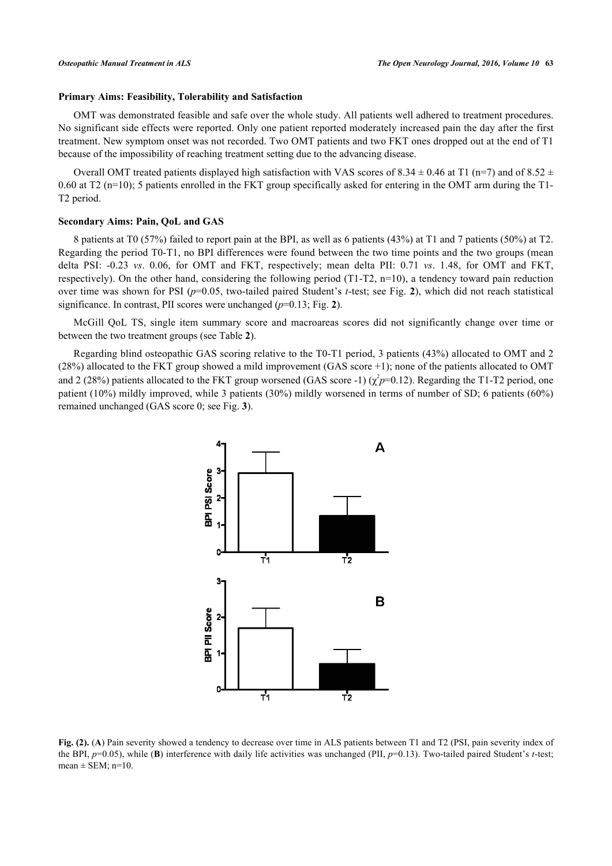# **Primary Aims: Feasibility, Tolerability and Satisfaction**

OMT was demonstrated feasible and safe over the whole study. All patients well adhered to treatment procedures. No significant side effects were reported. Only one patient reported moderately increased pain the day after the first treatment. New symptom onset was not recorded. Two OMT patients and two FKT ones dropped out at the end of T1 because of the impossibility of reaching treatment setting due to the advancing disease.

Overall OMT treated patients displayed high satisfaction with VAS scores of 8.34  $\pm$  0.46 at T1 (n=7) and of 8.52  $\pm$ 0.60 at T2 (n=10); 5 patients enrolled in the FKT group specifically asked for entering in the OMT arm during the T1-T2 period.

#### **Secondary Aims: Pain, QoL and GAS**

8 patients at T0 (57%) failed to report pain at the BPI, as well as 6 patients (43%) at T1 and 7 patients (50%) at T2. Regarding the period T0-T1, no BPI differences were found between the two time points and the two groups (mean delta PSI: -0.23 *vs*. 0.06, for OMT and FKT, respectively; mean delta PII: 0.71 *vs*. 1.48, for OMT and FKT, respectively). On the other hand, considering the following period (T1-T2, n=10), a tendency toward pain reduction over time was shown for PSI (*p*=0.05, two-tailed paired Student's *t*-test; see Fig. **[2](#page-4-0)**), which did not reach statistical significance. In contrast, PII scores were unchanged (*p*=0.13; Fig. **[2](#page-4-0)**).

McGill QoL TS, single item summary score and macroareas scores did not significantly change over time or between the two treatment groups (see [Table](#page-3-1) **[2](#page-3-1)**).

<span id="page-4-0"></span>Regarding blind osteopathic GAS scoring relative to the T0-T1 period, 3 patients (43%) allocated to OMT and 2 (28%) allocated to the FKT group showed a mild improvement (GAS score +1); none of the patients allocated to OMT and 2 (28%) patients allocated to the FKT group worsened (GAS score -1)  $(\chi^2 p=0.12)$ . Regarding the T1-T2 period, one patient (10%) mildly improved, while 3 patients (30%) mildly worsened in terms of number of SD; 6 patients (60%) remained unchanged (GAS score 0; see Fig. **[3](#page-5-0)**).



**Fig. (2).** (A) Pain severity showed a tendency to decrease over time in ALS patients between T1 and T2 (PSI, pain severity index of the BPI, *p*=0.05), while (**B**) interference with daily life activities was unchanged (PII, *p*=0.13). Two-tailed paired Student's *t*-test; mean  $\pm$  SEM; n=10.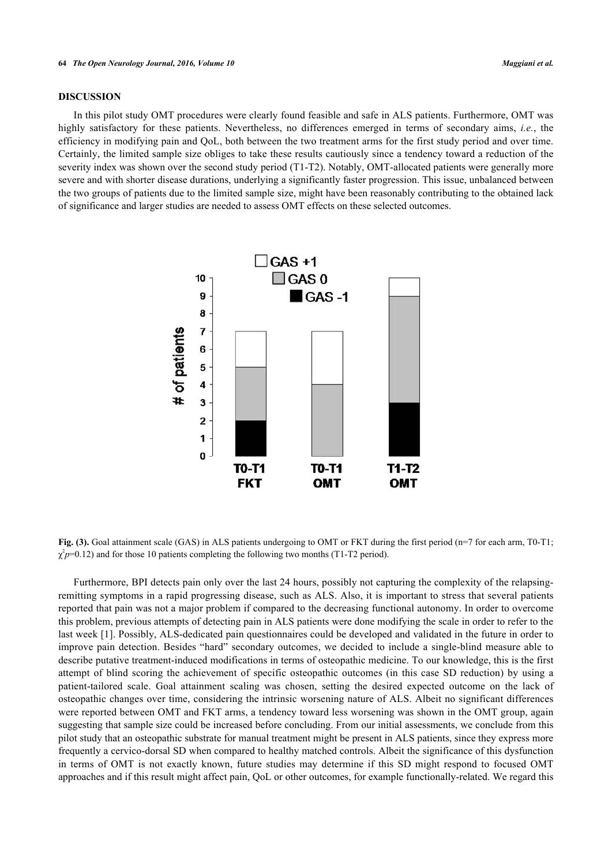# **DISCUSSION**

<span id="page-5-0"></span>In this pilot study OMT procedures were clearly found feasible and safe in ALS patients. Furthermore, OMT was highly satisfactory for these patients. Nevertheless, no differences emerged in terms of secondary aims, *i.e.*, the efficiency in modifying pain and QoL, both between the two treatment arms for the first study period and over time. Certainly, the limited sample size obliges to take these results cautiously since a tendency toward a reduction of the severity index was shown over the second study period (T1-T2). Notably, OMT-allocated patients were generally more severe and with shorter disease durations, underlying a significantly faster progression. This issue, unbalanced between the two groups of patients due to the limited sample size, might have been reasonably contributing to the obtained lack of significance and larger studies are needed to assess OMT effects on these selected outcomes.



**Fig. (3).** Goal attainment scale (GAS) in ALS patients undergoing to OMT or FKT during the first period (n=7 for each arm, T0-T1;  $\chi^2 p$ =0.12) and for those 10 patients completing the following two months (T1-T2 period).

Furthermore, BPI detects pain only over the last 24 hours, possibly not capturing the complexity of the relapsingremitting symptoms in a rapid progressing disease, such as ALS. Also, it is important to stress that several patients reported that pain was not a major problem if compared to the decreasing functional autonomy. In order to overcome this problem, previous attempts of detecting pain in ALS patients were done modifying the scale in order to refer to the last week [\[1\]](#page-6-0). Possibly, ALS-dedicated pain questionnaires could be developed and validated in the future in order to improve pain detection. Besides "hard" secondary outcomes, we decided to include a single-blind measure able to describe putative treatment-induced modifications in terms of osteopathic medicine. To our knowledge, this is the first attempt of blind scoring the achievement of specific osteopathic outcomes (in this case SD reduction) by using a patient-tailored scale. Goal attainment scaling was chosen, setting the desired expected outcome on the lack of osteopathic changes over time, considering the intrinsic worsening nature of ALS. Albeit no significant differences were reported between OMT and FKT arms, a tendency toward less worsening was shown in the OMT group, again suggesting that sample size could be increased before concluding. From our initial assessments, we conclude from this pilot study that an osteopathic substrate for manual treatment might be present in ALS patients, since they express more frequently a cervico-dorsal SD when compared to healthy matched controls. Albeit the significance of this dysfunction in terms of OMT is not exactly known, future studies may determine if this SD might respond to focused OMT approaches and if this result might affect pain, QoL or other outcomes, for example functionally-related. We regard this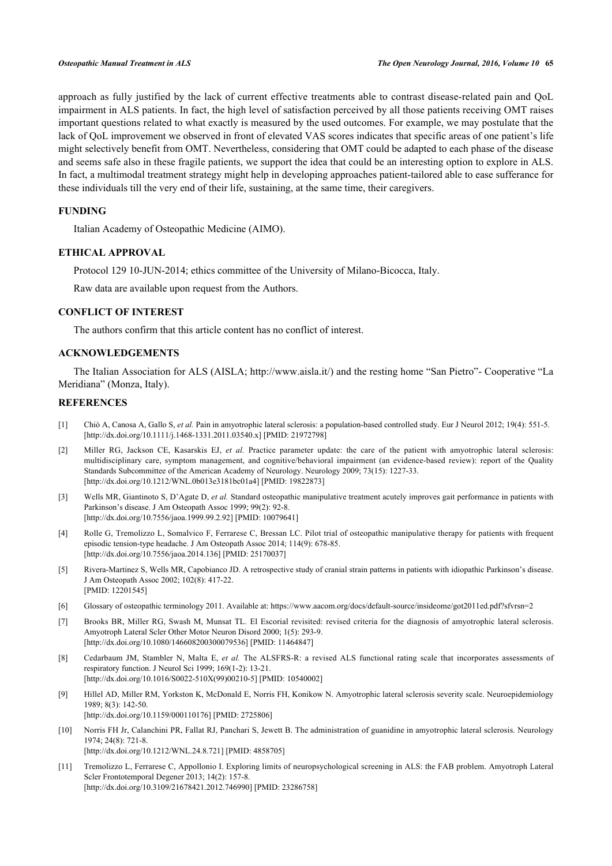approach as fully justified by the lack of current effective treatments able to contrast disease-related pain and QoL impairment in ALS patients. In fact, the high level of satisfaction perceived by all those patients receiving OMT raises important questions related to what exactly is measured by the used outcomes. For example, we may postulate that the lack of QoL improvement we observed in front of elevated VAS scores indicates that specific areas of one patient's life might selectively benefit from OMT. Nevertheless, considering that OMT could be adapted to each phase of the disease and seems safe also in these fragile patients, we support the idea that could be an interesting option to explore in ALS. In fact, a multimodal treatment strategy might help in developing approaches patient-tailored able to ease sufferance for these individuals till the very end of their life, sustaining, at the same time, their caregivers.

# **FUNDING**

Italian Academy of Osteopathic Medicine (AIMO).

# **ETHICAL APPROVAL**

Protocol 129 10-JUN-2014; ethics committee of the University of Milano-Bicocca, Italy.

Raw data are available upon request from the Authors.

# **CONFLICT OF INTEREST**

The authors confirm that this article content has no conflict of interest.

# **ACKNOWLEDGEMENTS**

The Italian Association for ALS (AISLA;<http://www.aisla.it/>) and the resting home "San Pietro"- Cooperative "La Meridiana" (Monza, Italy).

# **REFERENCES**

- <span id="page-6-0"></span>[1] Chiò A, Canosa A, Gallo S, *et al.* Pain in amyotrophic lateral sclerosis: a population-based controlled study. Eur J Neurol 2012; 19(4): 551-5. [\[http://dx.doi.org/10.1111/j.1468-1331.2011.03540.x\]](http://dx.doi.org/10.1111/j.1468-1331.2011.03540.x) [PMID: [21972798](http://www.ncbi.nlm.nih.gov/pubmed/21972798)]
- <span id="page-6-1"></span>[2] Miller RG, Jackson CE, Kasarskis EJ, *et al.* Practice parameter update: the care of the patient with amyotrophic lateral sclerosis: multidisciplinary care, symptom management, and cognitive/behavioral impairment (an evidence-based review): report of the Quality Standards Subcommittee of the American Academy of Neurology. Neurology 2009; 73(15): 1227-33. [\[http://dx.doi.org/10.1212/WNL.0b013e3181bc01a4\]](http://dx.doi.org/10.1212/WNL.0b013e3181bc01a4) [PMID: [19822873](http://www.ncbi.nlm.nih.gov/pubmed/19822873)]
- <span id="page-6-2"></span>[3] Wells MR, Giantinoto S, D'Agate D, *et al.* Standard osteopathic manipulative treatment acutely improves gait performance in patients with Parkinson's disease. J Am Osteopath Assoc 1999; 99(2): 92-8. [\[http://dx.doi.org/10.7556/jaoa.1999.99.2.92](http://dx.doi.org/10.7556/jaoa.1999.99.2.92)] [PMID: [10079641\]](http://www.ncbi.nlm.nih.gov/pubmed/10079641)
- <span id="page-6-3"></span>[4] Rolle G, Tremolizzo L, Somalvico F, Ferrarese C, Bressan LC. Pilot trial of osteopathic manipulative therapy for patients with frequent episodic tension-type headache. J Am Osteopath Assoc 2014; 114(9): 678-85. [\[http://dx.doi.org/10.7556/jaoa.2014.136](http://dx.doi.org/10.7556/jaoa.2014.136)] [PMID: [25170037\]](http://www.ncbi.nlm.nih.gov/pubmed/25170037)
- <span id="page-6-4"></span>[5] Rivera-Martinez S, Wells MR, Capobianco JD. A retrospective study of cranial strain patterns in patients with idiopathic Parkinson's disease. J Am Osteopath Assoc 2002; 102(8): 417-22. [PMID: [12201545\]](http://www.ncbi.nlm.nih.gov/pubmed/12201545)
- <span id="page-6-5"></span>[6] Glossary of osteopathic terminology 2011. Available at:<https://www.aacom.org/docs/default-source/insideome/got2011ed.pdf?sfvrsn=2>
- <span id="page-6-6"></span>[7] Brooks BR, Miller RG, Swash M, Munsat TL. El Escorial revisited: revised criteria for the diagnosis of amyotrophic lateral sclerosis. Amyotroph Lateral Scler Other Motor Neuron Disord 2000; 1(5): 293-9. [\[http://dx.doi.org/10.1080/146608200300079536\]](http://dx.doi.org/10.1080/146608200300079536) [PMID: [11464847](http://www.ncbi.nlm.nih.gov/pubmed/11464847)]
- <span id="page-6-7"></span>[8] Cedarbaum JM, Stambler N, Malta E, *et al.* The ALSFRS-R: a revised ALS functional rating scale that incorporates assessments of respiratory function. J Neurol Sci 1999; 169(1-2): 13-21. [\[http://dx.doi.org/10.1016/S0022-510X\(99\)00210-5\]](http://dx.doi.org/10.1016/S0022-510X(99)00210-5) [PMID: [10540002](http://www.ncbi.nlm.nih.gov/pubmed/10540002)]
- <span id="page-6-8"></span>[9] Hillel AD, Miller RM, Yorkston K, McDonald E, Norris FH, Konikow N. Amyotrophic lateral sclerosis severity scale. Neuroepidemiology 1989; 8(3): 142-50. [\[http://dx.doi.org/10.1159/000110176\]](http://dx.doi.org/10.1159/000110176) [PMID: [2725806](http://www.ncbi.nlm.nih.gov/pubmed/2725806)]
- <span id="page-6-9"></span>[10] Norris FH Jr, Calanchini PR, Fallat RJ, Panchari S, Jewett B. The administration of guanidine in amyotrophic lateral sclerosis. Neurology 1974; 24(8): 721-8. [\[http://dx.doi.org/10.1212/WNL.24.8.721](http://dx.doi.org/10.1212/WNL.24.8.721)] [PMID: [4858705\]](http://www.ncbi.nlm.nih.gov/pubmed/4858705)
- <span id="page-6-10"></span>[11] Tremolizzo L, Ferrarese C, Appollonio I. Exploring limits of neuropsychological screening in ALS: the FAB problem. Amyotroph Lateral Scler Frontotemporal Degener 2013; 14(2): 157-8. [\[http://dx.doi.org/10.3109/21678421.2012.746990\]](http://dx.doi.org/10.3109/21678421.2012.746990) [PMID: [23286758](http://www.ncbi.nlm.nih.gov/pubmed/23286758)]